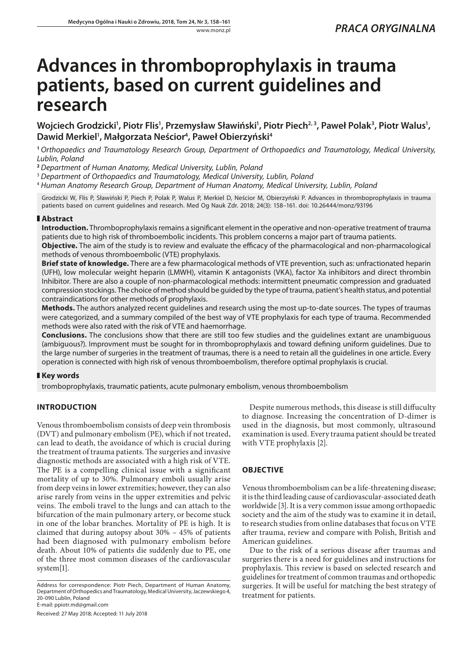# **Advances in thromboprophylaxis in trauma patients, based on current guidelines and research**

Wojciech Grodzicki<sup>1</sup>, Piotr Flis<sup>1</sup>, Przemysław Sławiński<sup>1</sup>, Piotr Piech<sup>2, 3</sup>, Paweł Polak<sup>3</sup>, Piotr Walus<sup>1</sup>, **Dawid Merkiel1 , Małgorzata Neścior4 , Paweł Obierzyński4**

**<sup>1</sup>** *Orthopaedics and Traumatology Research Group, Department of Orthopaedics and Traumatology, Medical University, Lublin, Poland*

**<sup>2</sup>** *Department of Human Anatomy, Medical University, Lublin, Poland*

<sup>3</sup> *Department of Orthopaedics and Traumatology, Medical University, Lublin, Poland*

<sup>4</sup> *Human Anatomy Research Group, Department of Human Anatomy, Medical University, Lublin, Poland*

Grodzicki W, Flis P, Sławiński P, Piech P, Polak P, Walus P, Merkiel D, Neścior M, Obierzyński P. Advances in thromboprophylaxis in trauma patients based on current guidelines and research. Med Og Nauk Zdr. 2018; 24(3): 158–161. doi: 10.26444/monz/93196

#### **Abstract**

**Introduction.** Thromboprophylaxis remains a significant element in the operative and non-operative treatment of trauma patients due to high risk of thromboembolic incidents. This problem concerns a major part of trauma patients.

**Objective.** The aim of the study is to review and evaluate the efficacy of the pharmacological and non-pharmacological methods of venous thromboembolic (VTE) prophylaxis.

**Brief state of knowledge.** There are a few pharmacological methods of VTE prevention, such as: unfractionated heparin (UFH), low molecular weight heparin (LMWH), vitamin K antagonists (VKA), factor Xa inhibitors and direct thrombin Inhibitor. There are also a couple of non-pharmacological methods: intermittent pneumatic compression and graduated compression stockings. The choice of method should be guided by the type of trauma, patient's health status, and potential contraindications for other methods of prophylaxis.

**Methods.** The authors analyzed recent guidelines and research using the most up-to-date sources. The types of traumas were categorized, and a summary compiled of the best way of VTE prophylaxis for each type of trauma. Recommended methods were also rated with the risk of VTE and haemorrhage.

**Conclusions.** The conclusions show that there are still too few studies and the guidelines extant are unambiguous (ambiguous?). Improvment must be sought for in thromboprophylaxis and toward defining uniform guidelines. Due to the large number of surgeries in the treatment of traumas, there is a need to retain all the guidelines in one article. Every operation is connected with high risk of venous thromboembolism, therefore optimal prophylaxis is crucial.

# **Key words**

tromboprophylaxis, traumatic patients, acute pulmonary embolism, venous thromboembolism

# **INTRODUCTION**

Venous thromboembolism consists of deep vein thrombosis (DVT) and pulmonary embolism (PE), which if not treated, can lead to death, the avoidance of which is crucial during the treatment of trauma patients. The surgeries and invasive diagnostic methods are associated with a high risk of VTE. The PE is a compelling clinical issue with a significant mortality of up to 30%. Pulmonary emboli usually arise from deep veins in lower extremities; however, they can also arise rarely from veins in the upper extremities and pelvic veins. The emboli travel to the lungs and can attach to the bifurcation of the main pulmonary artery, or become stuck in one of the lobar branches. Mortality of PE is high. It is claimed that during autopsy about 30% – 45% of patients had been diagnosed with pulmonary embolism before death. About 10% of patients die suddenly due to PE, one of the three most common diseases of the cardiovascular system[1].

Received: 27 May 2018; Accepted: 11 July 2018

Despite numerous methods, this disease is still diffuculty to diagnose. Increasing the concentration of D-dimer is used in the diagnosis, but most commonly, ultrasound examination is used. Every trauma patient should be treated with VTE prophylaxis [2].

# **OBJECTIVE**

Venous thromboembolism can be a life-threatening disease; it is the third leading cause of cardiovascular-associated death worldwide [3]. It is a very common issue among orthopaedic society and the aim of the study was to examine it in detail, to research studies from online databases that focus on VTE after trauma, review and compare with Polish, British and American guidelines.

Due to the risk of a serious disease after traumas and surgeries there is a need for guidelines and instructions for prophylaxis. This review is based on selected research and guidelines for treatment of common traumas and orthopedic surgeries. It will be useful for matching the best strategy of treatment for patients.

Address for correspondence: Piotr Piech, Department of Human Anatomy, Department of Orthopedics and Traumatology, Medical University, Jaczewskiego 4, 20-090 Lublin, Poland E-mail: ppiotr.md@gmail.com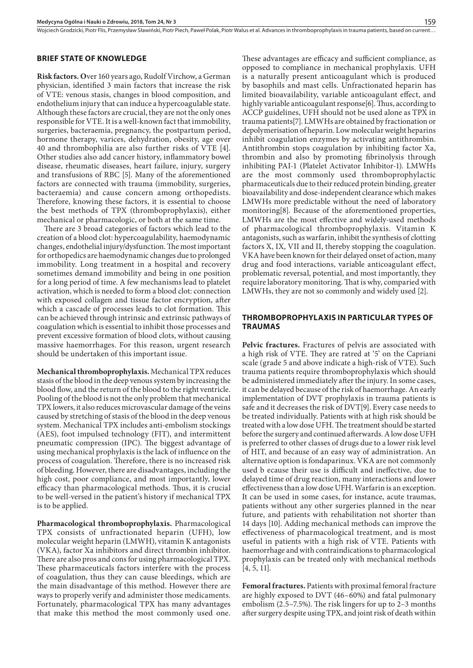Wojciech Grodzicki, Piotr Flis, Przemysław Sławiński, Piotr Piech, Paweł Polak, Piotr Walus et al. Advances in thromboprophylaxis in trauma patients, based on current..

#### **BRIEF STATE OF KNOWLEDGE**

**Risk factors. O**ver 160 years ago, Rudolf Virchow, a German physician, identified 3 main factors that increase the risk of VTE: venous stasis, changes in blood composition, and endothelium injury that can induce a hypercoagulable state. Although these factors are crucial, they are not the only ones responsible for VTE. It is a well-known fact that immobility, surgeries, bacteraemia, pregnancy, the postpartum period, hormone therapy, varices, dehydration, obesity, age over 40 and thrombophilia are also further risks of VTE [4]. Other studies also add cancer history, inflammatory bowel disease, rheumatic diseases, heart failure, injury, surgery and transfusions of RBC [5]. Many of the aforementioned factors are connected with trauma (immobility, surgeries, bacteraemia) and cause concern among orthopedists. Therefore, knowing these factors, it is essential to choose the best methods of TPX (thromboprophylaxis), either mechanical or pharmacologic, or both at the same time.

There are 3 broad categories of factors which lead to the creation of a blood clot: hypercoagulability, haemodynamic changes, endothelial injury/dysfunction. The most important for orthopedics are haemodynamic changes due to prolonged immobility. Long treatment in a hospital and recovery sometimes demand immobility and being in one position for a long period of time. A few mechanisms lead to platelet activation, which is needed to form a blood clot: connection with exposed collagen and tissue factor encryption, after which a cascade of processes leads to clot formation. This can be achieved through intrinsic and extrinsic pathways of coagulation which is essential to inhibit those processes and prevent excessive formation of blood clots, without causing massive haemorrhages. For this reason, urgent research should be undertaken of this important issue.

**Mechanical thromboprophylaxis.** Mechanical TPX reduces stasis of the blood in the deep venous system by increasing the blood flow, and the return of the blood to the right ventricle. Pooling of the blood is not the only problem that mechanical TPX lowers, it also reduces microvascular damage of the veins caused by stretching of stasis of the blood in the deep venous system. Mechanical TPX includes anti-embolism stockings (AES), foot impulsed technology (FIT), and intermittent pneumatic compression (IPC). The biggest advantage of using mechanical prophylaxis is the lack of influence on the process of coagulation. Therefore, there is no increased risk of bleeding. However, there are disadvantages, including the high cost, poor compliance, and most importantly, lower efficacy than pharmacological methods. Thus, it is crucial to be well-versed in the patient's history if mechanical TPX is to be applied.

**Pharmacological thromboprophylaxis.** Pharmacological TPX consists of unfractionated heparin (UFH), low molecular weight heparin (LMWH), vitamin K antagonists (VKA), factor Xa inhibitors and direct thrombin inhibitor. There are also pros and cons for using pharmacological TPX. These pharmaceuticals factors interfere with the process of coagulation, thus they can cause bleedings, which are the main disadvantage of this method. However there are ways to properly verify and administer those medicaments. Fortunately, pharmacological TPX has many advantages that make this method the most commonly used one.

These advantages are efficacy and sufficient compliance, as opposed to compliance in mechanical prophylaxis. UFH is a naturally present anticoagulant which is produced by basophils and mast cells. Unfractionated heparin has limited bioavailability, variable anticoagulant effect, and highly variable anticoagulant response[6]. Thus, according to ACCP guidelines, UFH should not be used alone as TPX in trauma patients[7]. LMWHs are obtained by fractionation or depolymerisation of heparin. Low molecular weight heparins inhibit coagulation enzymes by activating antithrombin. Antithrombin stops coagulation by inhibiting factor Xa, thrombin and also by promoting fibrinolysis through inhibiting PAI-1 (Platelet Activator Inhibitor-1). LMWHs are the most commonly used thromboprophylactic pharmaceuticals due to their reduced protein binding, greater bioavailability and dose-independent clearance which makes LMWHs more predictable without the need of laboratory monitoring[8]. Because of the aforementioned properties, LMWHs are the most effective and widely-used methods of pharmacological thromboprophylaxis. Vitamin K antagonists, such as warfarin, inhibit the synthesis of clotting factors X, IX, VII and II, thereby stopping the coagulation. VKA have been known for their delayed onset of action, many drug and food interactions, variable anticoagulant effect, problematic reversal, potential, and most importantly, they require laboratory monitoring. That is why, comparied with LMWHs, they are not so commonly and widely used [2].

#### **THROMBOPROPHYLAXIS IN PARTICULAR TYPES OF TRAUMAS**

**Pelvic fractures.** Fractures of pelvis are associated with a high risk of VTE. They are ratred at '5' on the Capriani scale (grade 5 and above indicate a high-risk of VTE). Such trauma patients require thromboprophylaxis which should be administered immediately after the injury. In some cases, it can be delayed because of the risk of haemorrhage. An early implementation of DVT prophylaxis in trauma patients is safe and it decreases the risk of DVT[9]. Every case needs to be treated individually. Patients with at high risk should be treated with a low dose UFH. The treatment should be started before the surgery and continued afterwards. A low dose UFH is preferred to other classes of drugs due to a lower risk level of HIT, and because of an easy way of administration. An alternative option is fondaparinux. VKA are not commonly used b ecause their use is difficult and ineffective, due to delayed time of drug reaction, many interactions and lower effectiveness than a low dose UFH. Warfarin is an exception. It can be used in some cases, for instance, acute traumas, patients without any other surgeries planned in the near future, and patients with rehabilitation not shorter than 14 days [10]. Adding mechanical methods can improve the effectiveness of pharmacological treatment, and is most useful in patients with a high risk of VTE. Patients with haemorrhage and with contraindications to pharmacological prophylaxis can be treated only with mechanical methods  $[4, 5, 11]$ .

**Femoral fractures.** Patients with proximal femoral fracture are highly exposed to DVT (46–60%) and fatal pulmonary embolism (2.5–7.5%). The risk lingers for up to 2–3 months after surgery despite using TPX, and joint risk of death within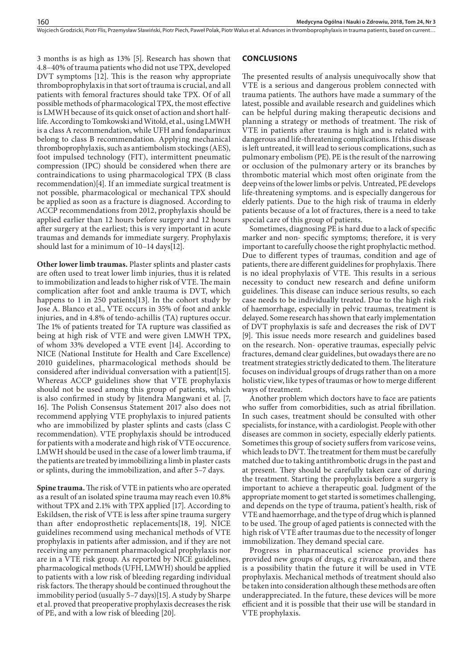Woiciech Grodzicki, Piotr Flis, Przemysław Sławiński, Piotr Piech, Paweł Polak, Piotr Walus et al. Advances in thromboprophylaxis in trauma patients, based on current..

3 months is as high as 13% [5]. Research has shown that 4.8–40% of trauma patients who did not use TPX, developed DVT symptoms [12]. This is the reason why appropriate thromboprophylaxis in that sort of trauma is crucial, and all patients with femoral fractures should take TPX. Of of all possible methods of pharmacological TPX, the most effective is LMWH because of its quick onset of action and short halflife. According to Tomkowski and Witold, et al., using LMWH is a class A recommendation, while UFH and fondaparinux belong to class B recommendation. Applying mechanical thromboprophylaxis, such as antiembolism stockings (AES), foot impulsed technology (FIT), intermittent pneumatic compression (IPC) should be considered when there are contraindications to using pharmacological TPX (B class recommendation)[4]. If an immediate surgical treatment is not possible, pharmacological or mechanical TPX should be applied as soon as a fracture is diagnosed. According to ACCP recommendations from 2012, prophylaxis should be applied earlier than 12 hours before surgery and 12 hours after surgery at the earliest; this is very important in acute traumas and demands for immediate surgery. Prophylaxis should last for a minimum of 10–14 days[12].

**Other lower limb traumas.** Plaster splints and plaster casts are often used to treat lower limb injuries, thus it is related to immobilization and leads to higher risk of VTE. The main complication after foot and ankle trauma is DVT, which happens to 1 in 250 patients[13]. In the cohort study by Jose A. Blanco et al., VTE occurs in 35% of foot and ankle injuries, and in 4.8% of tendo-achillis (TA) ruptures occur. The 1% of patients treated for TA rupture was classified as being at high risk of VTE and were given LMWH TPX, of whom 33% developed a VTE event [14]. According to NICE (National Institute for Health and Care Excellence) 2010 guidelines, pharmacological methods should be considered after individual conversation with a patient[15]. Whereas ACCP guidelines show that VTE prophylaxis should not be used among this group of patients, which is also confirmed in study by Jitendra Mangwani et al. [7, 16]. The Polish Consensus Statement 2017 also does not recommend applying VTE prophylaxis to injured patients who are immobilized by plaster splints and casts (class C recommendation). VTE prophylaxis should be introduced for patients with a moderate and high risk of VTE occurence. LMWH should be used in the case of a lower limb trauma, if the patients are treated by immobilizing a limb in plaster casts or splints, during the immobilization, and after 5–7 days.

**Spine trauma.** The risk of VTE in patients who are operated as a result of an isolated spine trauma may reach even 10.8% without TPX and 2.1% with TPX applied [17]. According to Eskildsen, the risk of VTE is less after spine trauma surgery than after endoprosthetic replacements[18, 19]. NICE guidelines recommend using mechanical methods of VTE prophylaxis in patients after admission, and if they are not receiving any permanent pharmacological prophylaxis nor are in a VTE risk group. As reported by NICE guidelines, pharmacological methods (UFH, LMWH) should be applied to patients with a low risk of bleeding regarding individual risk factors. The therapy should be continued throughout the immobility period (usually 5–7 days)[15]. A study by Sharpe et al. proved that preoperative prophylaxis decreases the risk of PE, and with a low risk of bleeding [20].

#### **CONCLUSIONS**

The presented results of analysis unequivocally show that VTE is a serious and dangerous problem connected with trauma patients. The authors have made a summary of the latest, possible and available research and guidelines which can be helpful during making therapeutic decisions and planning a strategy or methods of treatment. The risk of VTE in patients after trauma is high and is related with dangerous and life-threatening complications. If this disease is left untreated, it will lead to serious complications, such as pulmonary embolism (PE). PE is the result of the narrowing or occlusion of the pulmonary artery or its branches by thrombotic material which most often originate from the deep veins of the lower limbs or pelvis. Untreated, PE develops life-threatening symptoms. and is especially dangerous for elderly patients. Due to the high risk of trauma in elderly patients because of a lot of fractures, there is a need to take special care of this group of patients.

Sometimes, diagnosing PE is hard due to a lack of specific marker and non- specific symptoms; therefore, it is very important to carefully choose the right prophylactic method. Due to different types of traumas, condition and age of patients, there are different guidelines for prophylaxis. There is no ideal prophylaxis of VTE. This results in a serious necessity to conduct new research and define uniform guidelines. This disease can induce serious results, so each case needs to be individually treated. Due to the high risk of haemorrhage, especially in pelvic traumas, treatment is delayed. Some research has shown that early implementation of DVT prophylaxis is safe and decreases the risk of DVT [9]. This issue needs more research and guidelines based on the research. Non- operative traumas, especially pelvic fractures, demand clear guidelines, but owadays there are no treatment strategies strictly dedicated to them. The literature focuses on individual groups of drugs rather than on a more holistic view, like types of traumas or how to merge different ways of treatment.

Another problem which doctors have to face are patients who suffer from comorbidities, such as atrial fibrillation. In such cases, treatment should be consulted with other specialists, for instance, with a cardiologist. People with other diseases are common in society, especially elderly patients. Sometimes this group of society suffers from varicose veins, which leads to DVT. The treatment for them must be carefully matched due to taking antithrombotic drugs in the past and at present. They should be carefully taken care of during the treatment. Starting the prophylaxis before a surgery is important to achieve a therapeutic goal. Judgment of the appropriate moment to get started is sometimes challenging, and depends on the type of trauma, patient's health, risk of VTE and haemorrhage, and the type of drug which is planned to be used. The group of aged patients is connected with the high risk of VTE after traumas due to the necessity of longer immobilization. They demand special care.

Progress in pharmaceutical science provides has provided new groups of drugs, e.g rivaroxaban, and there is a possibility thatin the future it will be used in VTE prophylaxis. Mechanical methods of treatment should also be taken into consideration although these methods are often underappreciated. In the future, these devices will be more efficient and it is possible that their use will be standard in VTE prophylaxis.